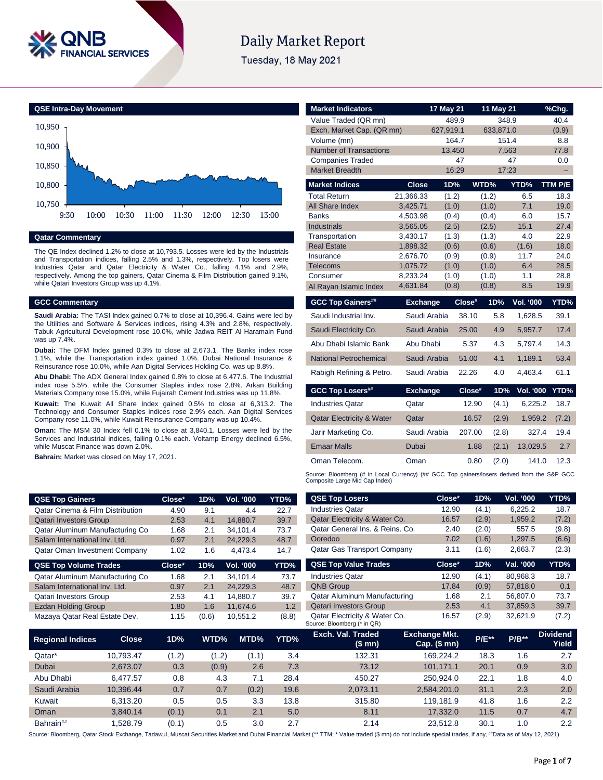

# **Daily Market Report**

Tuesday, 18 May 2021



# **Qatar Commentary**

The QE Index declined 1.2% to close at 10,793.5. Losses were led by the Industrials and Transportation indices, falling 2.5% and 1.3%, respectively. Top losers were Industries Qatar and Qatar Electricity & Water Co., falling 4.1% and 2.9%, respectively. Among the top gainers, Qatar Cinema & Film Distribution gained 9.1%, while Qatari Investors Group was up 4.1%.

### **GCC Commentary**

**QSE Top Gainers** 

**Saudi Arabia:** The TASI Index gained 0.7% to close at 10,396.4. Gains were led by the Utilities and Software & Services indices, rising 4.3% and 2.8%, respectively. Tabuk Agricultural Development rose 10.0%, while Jadwa REIT Al Haramain Fund was up 7.4%.

**Dubai:** The DFM Index gained 0.3% to close at 2,673.1. The Banks index rose 1.1%, while the Transportation index gained 1.0%. Dubai National Insurance & Reinsurance rose 10.0%, while Aan Digital Services Holding Co. was up 8.8%.

**Abu Dhabi:** The ADX General Index gained 0.8% to close at 6,477.6. The Industrial index rose 5.5%, while the Consumer Staples index rose 2.8%. Arkan Building Materials Company rose 15.0%, while Fujairah Cement Industries was up 11.8%.

**Kuwait:** The Kuwait All Share Index gained 0.5% to close at 6,313.2. The Technology and Consumer Staples indices rose 2.9% each. Aan Digital Services Company rose 11.0%, while Kuwait Reinsurance Company was up 10.4%.

**Oman:** The MSM 30 Index fell 0.1% to close at 3,840.1. Losses were led by the Services and Industrial indices, falling 0.1% each. Voltamp Energy declined 6.5%, while Muscat Finance was down 2.0%.

**Bahrain:** Market was closed on May 17, 2021.

| Value Traded (QR mn)                 |                 | 489.9     | 348.9           |                  | 40.4    |
|--------------------------------------|-----------------|-----------|-----------------|------------------|---------|
| Exch. Market Cap. (QR mn)            |                 | 627,919.1 | 633,871.0       |                  | (0.9)   |
| Volume (mn)                          |                 | 164.7     |                 | 151.4            | 8.8     |
| <b>Number of Transactions</b>        |                 | 13,450    |                 | 7,563            | 77.8    |
| <b>Companies Traded</b>              |                 | 47        |                 | 47               | 0.0     |
| <b>Market Breadth</b>                |                 | 16:29     |                 | 17:23            | -       |
| <b>Market Indices</b>                | <b>Close</b>    | 1D%       | WTD%            | YTD%             | TTM P/E |
| <b>Total Return</b>                  | 21,366.33       | (1.2)     | (1.2)           | 6.5              | 18.3    |
| <b>All Share Index</b>               | 3,425.71        | (1.0)     | (1.0)           | 7.1              | 19.0    |
| <b>Banks</b>                         | 4,503.98        | (0.4)     | (0.4)           | 6.0              | 15.7    |
| <b>Industrials</b>                   | 3,565.05        | (2.5)     | (2.5)           | 15.1             | 27.4    |
| Transportation                       | 3,430.17        | (1.3)     | (1.3)           | 4.0              | 22.9    |
| <b>Real Estate</b>                   | 1,898.32        | (0.6)     | (0.6)           | (1.6)            | 18.0    |
| Insurance                            | 2,676.70        | (0.9)     | (0.9)           | 11.7             | 24.0    |
| <b>Telecoms</b>                      | 1,075.72        | (1.0)     | (1.0)           | 6.4              | 28.5    |
| Consumer                             | 8,233.24        | (1.0)     | (1.0)           | 1.1              | 28.8    |
| Al Rayan Islamic Index               | 4,631.84        | (0.8)     | (0.8)           | 8.5              | 19.9    |
|                                      |                 |           |                 |                  |         |
| <b>GCC Top Gainers##</b>             | <b>Exchange</b> | Close#    | 1D%             | <b>Vol. '000</b> | YTD%    |
| Saudi Industrial Inv.                | Saudi Arabia    | 38.10     | 5.8             | 1,628.5          | 39.1    |
| Saudi Electricity Co.                | Saudi Arabia    | 25.00     | 4.9             | 5,957.7          | 17.4    |
| Abu Dhabi Islamic Bank               | Abu Dhabi       |           | 5.37<br>4.3     | 5,797.4          | 14.3    |
| <b>National Petrochemical</b>        | Saudi Arabia    | 51.00     | 4.1             | 1,189.1          | 53.4    |
| Rabigh Refining & Petro.             | Saudi Arabia    | 22.26     | 4.0             | 4,463.4          | 61.1    |
| <b>GCC Top Losers##</b>              | <b>Exchange</b> |           | Close#<br>1D%   | Vol. '000        | YTD%    |
| <b>Industries Qatar</b>              | Qatar           |           | (4.1)<br>12.90  | 6,225.2          | 18.7    |
| <b>Qatar Electricity &amp; Water</b> | Qatar           |           | 16.57<br>(2.9)  | 1,959.2          | (7.2)   |
| Jarir Marketing Co.                  | Saudi Arabia    |           | 207.00<br>(2.8) | 327.4            | 19.4    |
| <b>Emaar Malls</b>                   | <b>Dubai</b>    |           | 1.88<br>(2.1)   | 13,029.5         | 2.7     |
| Oman Telecom.                        | Oman            |           | 0.80<br>(2.0)   | 141.0            | 12.3    |

**Market Indicators 17 May 21 11 May 21 %Chg.**

Source: Bloomberg (# in Local Currency) (## GCC Top gainers/losers derived from the S&P GCC Composite Large Mid Cap Index)

| <b>QSE Top Gainers</b>               |                                                                 | Close* | 1D%   | Vol. '000                                               | YTD%     | <b>QSE Top Losers</b>                                        | Close*                               | 1D%      | Vol. '000 | YTD%                     |
|--------------------------------------|-----------------------------------------------------------------|--------|-------|---------------------------------------------------------|----------|--------------------------------------------------------------|--------------------------------------|----------|-----------|--------------------------|
| Qatar Cinema & Film Distribution     |                                                                 | 4.90   | 9.1   | 4.4                                                     | 22.7     | <b>Industries Qatar</b>                                      | 12.90                                | (4.1)    | 6,225.2   | 18.7                     |
| <b>Qatari Investors Group</b>        |                                                                 | 2.53   | 4.1   | 14,880.7                                                | 39.7     | Qatar Electricity & Water Co.                                | 16.57                                | (2.9)    | 1,959.2   | (7.2)                    |
| Qatar Aluminum Manufacturing Co      |                                                                 | 1.68   | 2.1   | 34,101.4                                                | 73.7     | Qatar General Ins. & Reins. Co.                              | 2.40                                 | (2.0)    | 557.5     | (9.8)                    |
| Salam International Inv. Ltd.        |                                                                 | 0.97   | 2.1   | 24,229.3                                                | 48.7     | Ooredoo                                                      | 7.02                                 | (1.6)    | 1,297.5   | (6.6)                    |
| <b>Qatar Oman Investment Company</b> |                                                                 | 1.02   | 1.6   | 4,473.4                                                 | 14.7     | <b>Qatar Gas Transport Company</b>                           | 3.11                                 | (1.6)    | 2,663.7   | (2.3)                    |
| <b>QSE Top Volume Trades</b>         |                                                                 | Close* | 1D%   | Vol. '000                                               | YTD%     | <b>QSE Top Value Trades</b>                                  | Close*                               | 1D%      | Val. '000 | YTD%                     |
| Qatar Aluminum Manufacturing Co      |                                                                 | 1.68   | 2.1   | 34,101.4                                                | 73.7     | <b>Industries Qatar</b>                                      | 12.90                                | (4.1)    | 80,968.3  | 18.7                     |
| Salam International Inv. Ltd.        |                                                                 | 0.97   | 2.1   | 24,229.3                                                | 48.7     | <b>QNB Group</b>                                             | 17.84                                | (0.9)    | 57,818.0  | 0.1                      |
| Qatari Investors Group               |                                                                 | 2.53   | 4.1   | <b>Qatar Aluminum Manufacturing</b><br>39.7<br>14,880.7 |          | 1.68                                                         | 2.1                                  | 56,807.0 | 73.7      |                          |
| <b>Ezdan Holding Group</b>           | <b>Qatari Investors Group</b><br>1.2<br>1.80<br>11,674.6<br>1.6 |        | 2.53  | 4.1                                                     | 37,859.3 | 39.7                                                         |                                      |          |           |                          |
| Mazaya Qatar Real Estate Dev.        |                                                                 | 1.15   | (0.6) | 10,551.2                                                | (8.8)    | Qatar Electricity & Water Co.<br>Source: Bloomberg (* in QR) | 16.57                                | (2.9)    | 32,621.9  | (7.2)                    |
| <b>Regional Indices</b>              | <b>Close</b>                                                    | 1D%    | WTD%  | MTD%                                                    | YTD%     | Exch. Val. Traded<br>(\$mn)                                  | <b>Exchange Mkt.</b><br>Cap. $($mn)$ | $P/E***$ | $P/B**$   | <b>Dividend</b><br>Yield |
| Qatar*                               | 10,793.47                                                       | (1.2)  | (1.2) | (1.1)                                                   | 3.4      | 132.31                                                       | 169,224.2                            | 18.3     | 1.6       | 2.7                      |
| Dubai                                | 2,673.07                                                        | 0.3    | (0.9) | 2.6                                                     | 7.3      | 73.12                                                        | 101,171.1                            | 20.1     | 0.9       | 3.0                      |
| Abu Dhabi                            | 6.477.57                                                        | 0.8    | 4.3   | 7.1                                                     | 28.4     | 450.27                                                       | 250,924.0                            | 22.1     | 1.8       | 4.0                      |
| Saudi Arabia                         | 10,396.44                                                       | 0.7    | 0.7   | (0.2)                                                   | 19.6     | 2,073.11                                                     | 2,584,201.0                          | 31.1     | 2.3       | 2.0                      |
| Kuwait                               | 6,313.20                                                        | 0.5    | 0.5   | 3.3                                                     | 13.8     | 315.80                                                       | 119,181.9                            | 41.8     | 1.6       | $2.2\phantom{0}$         |
| Oman                                 | 3,840.14                                                        | (0.1)  | 0.1   | 2.1                                                     | 5.0      | 8.11                                                         | 17,332.0                             | 11.5     | 0.7       | 4.7                      |
| Bahrain##                            | 1,528.79                                                        | (0.1)  | 0.5   | 3.0                                                     | 2.7      | 2.14                                                         | 23,512.8                             | 30.1     | 1.0       | 2.2                      |

Source: Bloomberg, Qatar Stock Exchange, Tadawul, Muscat Securities Market and Dubai Financial Market (\*\* TTM; \* Value traded (\$ mn) do not include special trades, if any, ##Data as of May 12, 2021)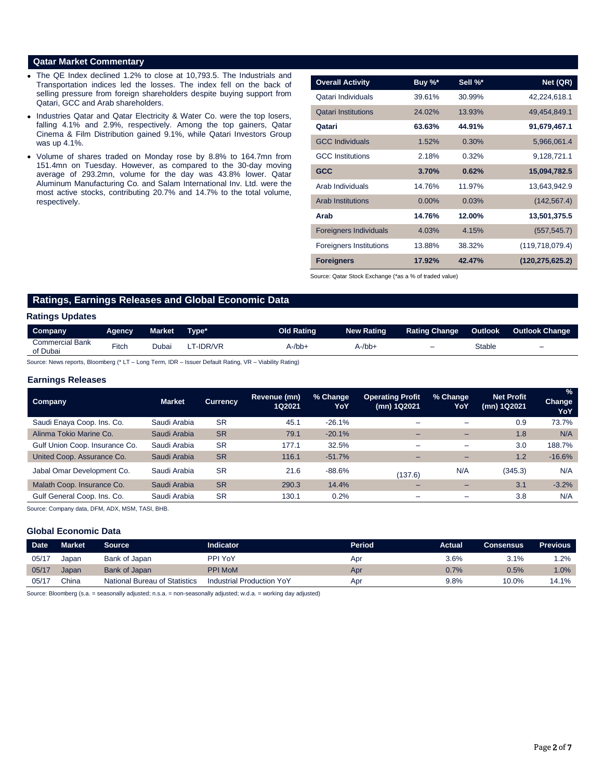## **Qatar Market Commentary**

- The QE Index declined 1.2% to close at 10,793.5. The Industrials and Transportation indices led the losses. The index fell on the back of selling pressure from foreign shareholders despite buying support from Qatari, GCC and Arab shareholders.
- Industries Qatar and Qatar Electricity & Water Co. were the top losers, falling 4.1% and 2.9%, respectively. Among the top gainers, Qatar Cinema & Film Distribution gained 9.1%, while Qatari Investors Group was up 4.1%.
- Volume of shares traded on Monday rose by 8.8% to 164.7mn from 151.4mn on Tuesday. However, as compared to the 30-day moving average of 293.2mn, volume for the day was 43.8% lower. Qatar Aluminum Manufacturing Co. and Salam International Inv. Ltd. were the most active stocks, contributing 20.7% and 14.7% to the total volume, respectively.

| <b>Overall Activity</b>        | Buy %*   | Sell %* | Net (QR)          |
|--------------------------------|----------|---------|-------------------|
| Qatari Individuals             | 39.61%   | 30.99%  | 42,224,618.1      |
| <b>Qatari Institutions</b>     | 24.02%   | 13.93%  | 49,454,849.1      |
| Qatari                         | 63.63%   | 44.91%  | 91,679,467.1      |
| <b>GCC Individuals</b>         | 1.52%    | 0.30%   | 5,966,061.4       |
| <b>GCC</b> Institutions        | 2.18%    | 0.32%   | 9,128,721.1       |
| <b>GCC</b>                     | 3.70%    | 0.62%   | 15,094,782.5      |
| Arab Individuals               | 14.76%   | 11.97%  | 13,643,942.9      |
| <b>Arab Institutions</b>       | $0.00\%$ | 0.03%   | (142, 567.4)      |
| Arab                           | 14.76%   | 12.00%  | 13,501,375.5      |
| <b>Foreigners Individuals</b>  | 4.03%    | 4.15%   | (557, 545.7)      |
| <b>Foreigners Institutions</b> | 13.88%   | 38.32%  | (119,718,079.4)   |
| <b>Foreigners</b>              | 17.92%   | 42.47%  | (120, 275, 625.2) |

Source: Qatar Stock Exchange (\*as a % of traded value)

# **Ratings, Earnings Releases and Global Economic Data**

### **Ratings Updates**

| Company                            | Agency | <b>Market</b> | Type*           | <b>Old Rating</b> | <b>New Rating</b> | <b>Rating Change</b> | Outlook | <b>Outlook Change</b>    |
|------------------------------------|--------|---------------|-----------------|-------------------|-------------------|----------------------|---------|--------------------------|
| <b>Commercial Bank</b><br>of Dubai | Fitch  | Jubai         | <b>F-IDR/VR</b> | 4-/bb+            | A-/bb-            | -                    | Stable  | $\overline{\phantom{0}}$ |

Source: News reports, Bloomberg (\* LT – Long Term, IDR – Issuer Default Rating, VR – Viability Rating)

### **Earnings Releases**

| <b>Company</b>                 | <b>Market</b> | <b>Currency</b> | Revenue (mn)<br>1Q2021 | % Change<br>YoY | <b>Operating Profit</b><br>(mn) 1Q2021 | % Change<br>YoY          | <b>Net Profit</b><br>(mn) 1Q2021 | $\frac{9}{6}$<br>Change<br>YoY |
|--------------------------------|---------------|-----------------|------------------------|-----------------|----------------------------------------|--------------------------|----------------------------------|--------------------------------|
| Saudi Enaya Coop. Ins. Co.     | Saudi Arabia  | <b>SR</b>       | 45.1                   | $-26.1%$        | -                                      | -                        | 0.9                              | 73.7%                          |
| Alinma Tokio Marine Co.        | Saudi Arabia  | <b>SR</b>       | 79.1                   | $-20.1%$        | -                                      | -                        | 1.8                              | N/A                            |
| Gulf Union Coop. Insurance Co. | Saudi Arabia  | <b>SR</b>       | 177.1                  | 32.5%           | -                                      | $\overline{\phantom{0}}$ | 3.0                              | 188.7%                         |
| United Coop. Assurance Co.     | Saudi Arabia  | <b>SR</b>       | 116.1                  | $-51.7%$        | -                                      | -                        | 1.2                              | $-16.6%$                       |
| Jabal Omar Development Co.     | Saudi Arabia  | <b>SR</b>       | 21.6                   | $-88.6%$        | (137.6)                                | N/A                      | (345.3)                          | N/A                            |
| Malath Coop. Insurance Co.     | Saudi Arabia  | <b>SR</b>       | 290.3                  | 14.4%           | -                                      |                          | 3.1                              | $-3.2%$                        |
| Gulf General Coop. Ins. Co.    | Saudi Arabia  | <b>SR</b>       | 130.1                  | 0.2%            | -                                      | -                        | 3.8                              | N/A                            |

Source: Company data, DFM, ADX, MSM, TASI, BHB.

# **Global Economic Data**

| <b>Date</b> | <b>Market</b> | Source                               | <b>Indicator</b>          | <b>Period</b> | <b>Actual</b> | Consensus | <b>Previous</b> |
|-------------|---------------|--------------------------------------|---------------------------|---------------|---------------|-----------|-----------------|
| 05/17       | Japan         | Bank of Japan                        | PPI YoY                   | Apr           | 3.6%          | 3.1%      | $1.2\%$         |
| 05/17       | Japan         | Bank of Japan                        | <b>PPI MoM</b>            | Apr           | 0.7%          | $0.5\%$   | 1.0%            |
| 05/17       | China         | <b>National Bureau of Statistics</b> | Industrial Production YoY | Apı           | 9.8%          | 10.0%     | 14.1%           |

Source: Bloomberg (s.a. = seasonally adjusted; n.s.a. = non-seasonally adjusted; w.d.a. = working day adjusted)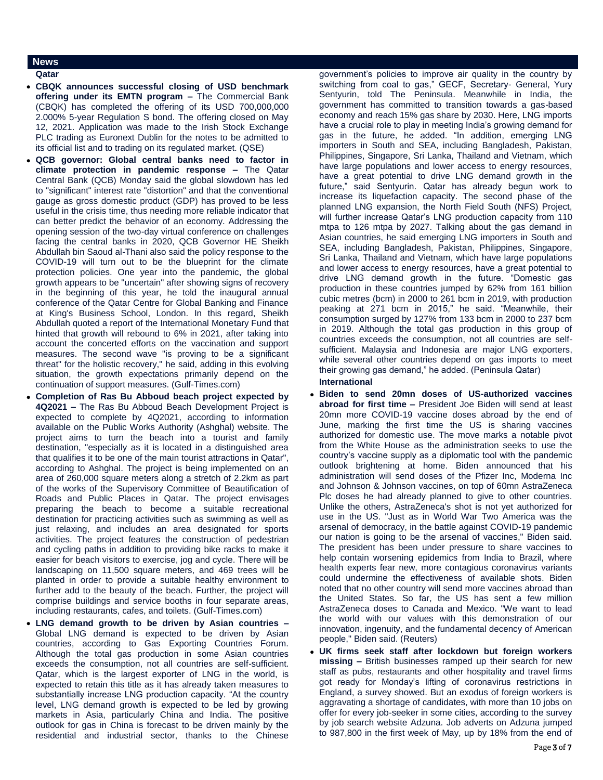# **News**

- **Qatar**
- **CBQK announces successful closing of USD benchmark offering under its EMTN program –** The Commercial Bank (CBQK) has completed the offering of its USD 700,000,000 2.000% 5-year Regulation S bond. The offering closed on May 12, 2021. Application was made to the Irish Stock Exchange PLC trading as Euronext Dublin for the notes to be admitted to its official list and to trading on its regulated market. (QSE)
- **QCB governor: Global central banks need to factor in climate protection in pandemic response –** The Qatar Central Bank (QCB) Monday said the global slowdown has led to "significant" interest rate "distortion" and that the conventional gauge as gross domestic product (GDP) has proved to be less useful in the crisis time, thus needing more reliable indicator that can better predict the behavior of an economy. Addressing the opening session of the two-day virtual conference on challenges facing the central banks in 2020, QCB Governor HE Sheikh Abdullah bin Saoud al-Thani also said the policy response to the COVID-19 will turn out to be the blueprint for the climate protection policies. One year into the pandemic, the global growth appears to be "uncertain" after showing signs of recovery in the beginning of this year, he told the inaugural annual conference of the Qatar Centre for Global Banking and Finance at King's Business School, London. In this regard, Sheikh Abdullah quoted a report of the International Monetary Fund that hinted that growth will rebound to 6% in 2021, after taking into account the concerted efforts on the vaccination and support measures. The second wave "is proving to be a significant threat" for the holistic recovery," he said, adding in this evolving situation, the growth expectations primarily depend on the continuation of support measures. (Gulf-Times.com)
- **Completion of Ras Bu Abboud beach project expected by 4Q2021 –** The Ras Bu Abboud Beach Development Project is expected to complete by 4Q2021, according to information available on the Public Works Authority (Ashghal) website. The project aims to turn the beach into a tourist and family destination, "especially as it is located in a distinguished area that qualifies it to be one of the main tourist attractions in Qatar", according to Ashghal. The project is being implemented on an area of 260,000 square meters along a stretch of 2.2km as part of the works of the Supervisory Committee of Beautification of Roads and Public Places in Qatar. The project envisages preparing the beach to become a suitable recreational destination for practicing activities such as swimming as well as just relaxing, and includes an area designated for sports activities. The project features the construction of pedestrian and cycling paths in addition to providing bike racks to make it easier for beach visitors to exercise, jog and cycle. There will be landscaping on 11,500 square meters, and 469 trees will be planted in order to provide a suitable healthy environment to further add to the beauty of the beach. Further, the project will comprise buildings and service booths in four separate areas, including restaurants, cafes, and toilets. (Gulf-Times.com)
- **LNG demand growth to be driven by Asian countries –** Global LNG demand is expected to be driven by Asian countries, according to Gas Exporting Countries Forum. Although the total gas production in some Asian countries exceeds the consumption, not all countries are self-sufficient. Qatar, which is the largest exporter of LNG in the world, is expected to retain this title as it has already taken measures to substantially increase LNG production capacity. "At the country level, LNG demand growth is expected to be led by growing markets in Asia, particularly China and India. The positive outlook for gas in China is forecast to be driven mainly by the residential and industrial sector, thanks to the Chinese

government's policies to improve air quality in the country by switching from coal to gas," GECF, Secretary- General, Yury Sentyurin, told The Peninsula. Meanwhile in India, the government has committed to transition towards a gas-based economy and reach 15% gas share by 2030. Here, LNG imports have a crucial role to play in meeting India's growing demand for gas in the future, he added. "In addition, emerging LNG importers in South and SEA, including Bangladesh, Pakistan, Philippines, Singapore, Sri Lanka, Thailand and Vietnam, which have large populations and lower access to energy resources, have a great potential to drive LNG demand growth in the future," said Sentyurin. Qatar has already begun work to increase its liquefaction capacity. The second phase of the planned LNG expansion, the North Field South (NFS) Project, will further increase Qatar's LNG production capacity from 110 mtpa to 126 mtpa by 2027. Talking about the gas demand in Asian countries, he said emerging LNG importers in South and SEA, including Bangladesh, Pakistan, Philippines, Singapore, Sri Lanka, Thailand and Vietnam, which have large populations and lower access to energy resources, have a great potential to drive LNG demand growth in the future. "Domestic gas production in these countries jumped by 62% from 161 billion cubic metres (bcm) in 2000 to 261 bcm in 2019, with production peaking at 271 bcm in 2015," he said. "Meanwhile, their consumption surged by 127% from 133 bcm in 2000 to 237 bcm in 2019. Although the total gas production in this group of countries exceeds the consumption, not all countries are selfsufficient. Malaysia and Indonesia are major LNG exporters, while several other countries depend on gas imports to meet their growing gas demand," he added. (Peninsula Qatar) **International**

- **Biden to send 20mn doses of US-authorized vaccines abroad for first time –** President Joe Biden will send at least 20mn more COVID-19 vaccine doses abroad by the end of June, marking the first time the US is sharing vaccines authorized for domestic use. The move marks a notable pivot from the White House as the administration seeks to use the country's vaccine supply as a diplomatic tool with the pandemic outlook brightening at home. Biden announced that his administration will send doses of the Pfizer Inc, Moderna Inc and Johnson & Johnson vaccines, on top of 60mn AstraZeneca Plc doses he had already planned to give to other countries. Unlike the others, AstraZeneca's shot is not yet authorized for use in the US. "Just as in World War Two America was the arsenal of democracy, in the battle against COVID-19 pandemic our nation is going to be the arsenal of vaccines," Biden said. The president has been under pressure to share vaccines to help contain worsening epidemics from India to Brazil, where health experts fear new, more contagious coronavirus variants could undermine the effectiveness of available shots. Biden noted that no other country will send more vaccines abroad than the United States. So far, the US has sent a few million AstraZeneca doses to Canada and Mexico. "We want to lead the world with our values with this demonstration of our innovation, ingenuity, and the fundamental decency of American people," Biden said. (Reuters)
- **UK firms seek staff after lockdown but foreign workers missing –** British businesses ramped up their search for new staff as pubs, restaurants and other hospitality and travel firms got ready for Monday's lifting of coronavirus restrictions in England, a survey showed. But an exodus of foreign workers is aggravating a shortage of candidates, with more than 10 jobs on offer for every job-seeker in some cities, according to the survey by job search website Adzuna. Job adverts on Adzuna jumped to 987,800 in the first week of May, up by 18% from the end of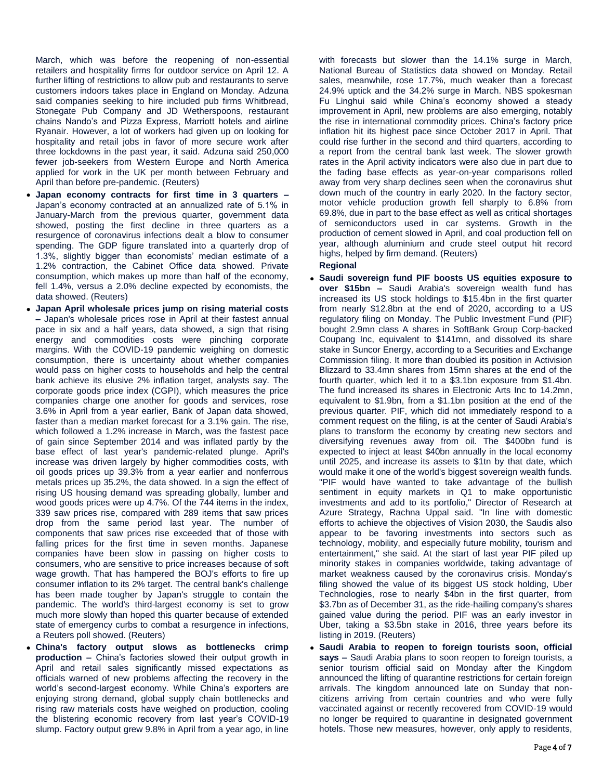March, which was before the reopening of non-essential retailers and hospitality firms for outdoor service on April 12. A further lifting of restrictions to allow pub and restaurants to serve customers indoors takes place in England on Monday. Adzuna said companies seeking to hire included pub firms Whitbread, Stonegate Pub Company and JD Wetherspoons, restaurant chains Nando's and Pizza Express, Marriott hotels and airline Ryanair. However, a lot of workers had given up on looking for hospitality and retail jobs in favor of more secure work after three lockdowns in the past year, it said. Adzuna said 250,000 fewer job-seekers from Western Europe and North America applied for work in the UK per month between February and April than before pre-pandemic. (Reuters)

- **Japan economy contracts for first time in 3 quarters –** Japan's economy contracted at an annualized rate of 5.1% in January-March from the previous quarter, government data showed, posting the first decline in three quarters as a resurgence of coronavirus infections dealt a blow to consumer spending. The GDP figure translated into a quarterly drop of 1.3%, slightly bigger than economists' median estimate of a 1.2% contraction, the Cabinet Office data showed. Private consumption, which makes up more than half of the economy, fell 1.4%, versus a 2.0% decline expected by economists, the data showed. (Reuters)
- **Japan April wholesale prices jump on rising material costs –** Japan's wholesale prices rose in April at their fastest annual pace in six and a half years, data showed, a sign that rising energy and commodities costs were pinching corporate margins. With the COVID-19 pandemic weighing on domestic consumption, there is uncertainty about whether companies would pass on higher costs to households and help the central bank achieve its elusive 2% inflation target, analysts say. The corporate goods price index (CGPI), which measures the price companies charge one another for goods and services, rose 3.6% in April from a year earlier, Bank of Japan data showed, faster than a median market forecast for a 3.1% gain. The rise, which followed a 1.2% increase in March, was the fastest pace of gain since September 2014 and was inflated partly by the base effect of last year's pandemic-related plunge. April's increase was driven largely by higher commodities costs, with oil goods prices up 39.3% from a year earlier and nonferrous metals prices up 35.2%, the data showed. In a sign the effect of rising US housing demand was spreading globally, lumber and wood goods prices were up 4.7%. Of the 744 items in the index, 339 saw prices rise, compared with 289 items that saw prices drop from the same period last year. The number of components that saw prices rise exceeded that of those with falling prices for the first time in seven months. Japanese companies have been slow in passing on higher costs to consumers, who are sensitive to price increases because of soft wage growth. That has hampered the BOJ's efforts to fire up consumer inflation to its 2% target. The central bank's challenge has been made tougher by Japan's struggle to contain the pandemic. The world's third-largest economy is set to grow much more slowly than hoped this quarter because of extended state of emergency curbs to combat a resurgence in infections, a Reuters poll showed. (Reuters)
- **China's factory output slows as bottlenecks crimp production –** China's factories slowed their output growth in April and retail sales significantly missed expectations as officials warned of new problems affecting the recovery in the world's second-largest economy. While China's exporters are enjoying strong demand, global supply chain bottlenecks and rising raw materials costs have weighed on production, cooling the blistering economic recovery from last year's COVID-19 slump. Factory output grew 9.8% in April from a year ago, in line

with forecasts but slower than the 14.1% surge in March, National Bureau of Statistics data showed on Monday. Retail sales, meanwhile, rose 17.7%, much weaker than a forecast 24.9% uptick and the 34.2% surge in March. NBS spokesman Fu Linghui said while China's economy showed a steady improvement in April, new problems are also emerging, notably the rise in international commodity prices. China's factory price inflation hit its highest pace since October 2017 in April. That could rise further in the second and third quarters, according to a report from the central bank last week. The slower growth rates in the April activity indicators were also due in part due to the fading base effects as year-on-year comparisons rolled away from very sharp declines seen when the coronavirus shut down much of the country in early 2020. In the factory sector, motor vehicle production growth fell sharply to 6.8% from 69.8%, due in part to the base effect as well as critical shortages of semiconductors used in car systems. Growth in the production of cement slowed in April, and coal production fell on year, although aluminium and crude steel output hit record highs, helped by firm demand. (Reuters)

## **Regional**

- **Saudi sovereign fund PIF boosts US equities exposure to over \$15bn –** Saudi Arabia's sovereign wealth fund has increased its US stock holdings to \$15.4bn in the first quarter from nearly \$12.8bn at the end of 2020, according to a US regulatory filing on Monday. The Public Investment Fund (PIF) bought 2.9mn class A shares in SoftBank Group Corp-backed Coupang Inc, equivalent to \$141mn, and dissolved its share stake in Suncor Energy, according to a Securities and Exchange Commission filing. It more than doubled its position in Activision Blizzard to 33.4mn shares from 15mn shares at the end of the fourth quarter, which led it to a \$3.1bn exposure from \$1.4bn. The fund increased its shares in Electronic Arts Inc to 14.2mn, equivalent to \$1.9bn, from a \$1.1bn position at the end of the previous quarter. PIF, which did not immediately respond to a comment request on the filing, is at the center of Saudi Arabia's plans to transform the economy by creating new sectors and diversifying revenues away from oil. The \$400bn fund is expected to inject at least \$40bn annually in the local economy until 2025, and increase its assets to \$1tn by that date, which would make it one of the world's biggest sovereign wealth funds. "PIF would have wanted to take advantage of the bullish sentiment in equity markets in Q1 to make opportunistic investments and add to its portfolio," Director of Research at Azure Strategy, Rachna Uppal said. "In line with domestic efforts to achieve the objectives of Vision 2030, the Saudis also appear to be favoring investments into sectors such as technology, mobility, and especially future mobility, tourism and entertainment," she said. At the start of last year PIF piled up minority stakes in companies worldwide, taking advantage of market weakness caused by the coronavirus crisis. Monday's filing showed the value of its biggest US stock holding, Uber Technologies, rose to nearly \$4bn in the first quarter, from \$3.7bn as of December 31, as the ride-hailing company's shares gained value during the period. PIF was an early investor in Uber, taking a \$3.5bn stake in 2016, three years before its listing in 2019. (Reuters)
- **Saudi Arabia to reopen to foreign tourists soon, official says –** Saudi Arabia plans to soon reopen to foreign tourists, a senior tourism official said on Monday after the Kingdom announced the lifting of quarantine restrictions for certain foreign arrivals. The kingdom announced late on Sunday that noncitizens arriving from certain countries and who were fully vaccinated against or recently recovered from COVID-19 would no longer be required to quarantine in designated government hotels. Those new measures, however, only apply to residents,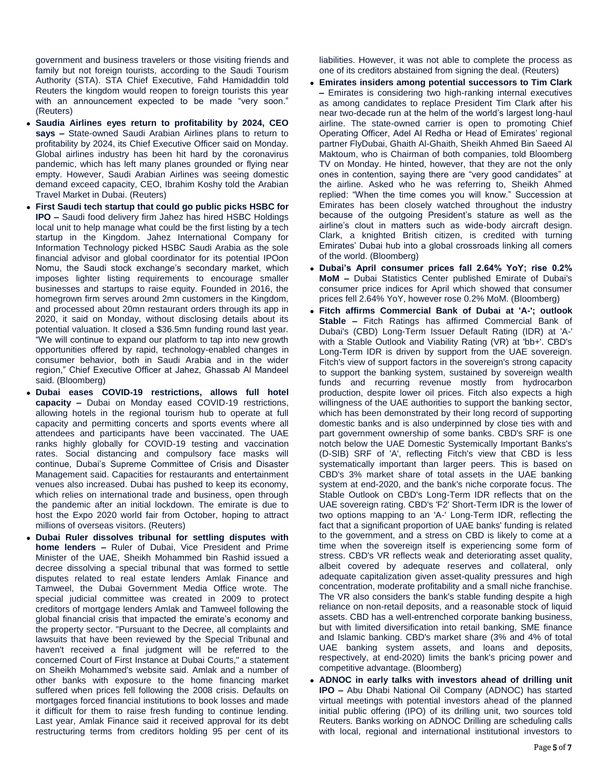government and business travelers or those visiting friends and family but not foreign tourists, according to the Saudi Tourism Authority (STA). STA Chief Executive, Fahd Hamidaddin told Reuters the kingdom would reopen to foreign tourists this year with an announcement expected to be made "very soon." (Reuters)

- **Saudia Airlines eyes return to profitability by 2024, CEO says –** State-owned Saudi Arabian Airlines plans to return to profitability by 2024, its Chief Executive Officer said on Monday. Global airlines industry has been hit hard by the coronavirus pandemic, which has left many planes grounded or flying near empty. However, Saudi Arabian Airlines was seeing domestic demand exceed capacity, CEO, Ibrahim Koshy told the Arabian Travel Market in Dubai. (Reuters)
- **First Saudi tech startup that could go public picks HSBC for IPO –** Saudi food delivery firm Jahez has hired HSBC Holdings local unit to help manage what could be the first listing by a tech startup in the Kingdom. Jahez International Company for Information Technology picked HSBC Saudi Arabia as the sole financial advisor and global coordinator for its potential IPOon Nomu, the Saudi stock exchange's secondary market, which imposes lighter listing requirements to encourage smaller businesses and startups to raise equity. Founded in 2016, the homegrown firm serves around 2mn customers in the Kingdom, and processed about 20mn restaurant orders through its app in 2020, it said on Monday, without disclosing details about its potential valuation. It closed a \$36.5mn funding round last year. "We will continue to expand our platform to tap into new growth opportunities offered by rapid, technology-enabled changes in consumer behavior, both in Saudi Arabia and in the wider region," Chief Executive Officer at Jahez, Ghassab Al Mandeel said. (Bloomberg)
- **Dubai eases COVID-19 restrictions, allows full hotel capacity –** Dubai on Monday eased COVID-19 restrictions, allowing hotels in the regional tourism hub to operate at full capacity and permitting concerts and sports events where all attendees and participants have been vaccinated. The UAE ranks highly globally for COVID-19 testing and vaccination rates. Social distancing and compulsory face masks will continue, Dubai's Supreme Committee of Crisis and Disaster Management said. Capacities for restaurants and entertainment venues also increased. Dubai has pushed to keep its economy, which relies on international trade and business, open through the pandemic after an initial lockdown. The emirate is due to host the Expo 2020 world fair from October, hoping to attract millions of overseas visitors. (Reuters)
- **Dubai Ruler dissolves tribunal for settling disputes with home lenders –** Ruler of Dubai, Vice President and Prime Minister of the UAE, Sheikh Mohammed bin Rashid issued a decree dissolving a special tribunal that was formed to settle disputes related to real estate lenders Amlak Finance and Tamweel, the Dubai Government Media Office wrote. The special judicial committee was created in 2009 to protect creditors of mortgage lenders Amlak and Tamweel following the global financial crisis that impacted the emirate's economy and the property sector. "Pursuant to the Decree, all complaints and lawsuits that have been reviewed by the Special Tribunal and haven't received a final judgment will be referred to the concerned Court of First Instance at Dubai Courts," a statement on Sheikh Mohammed's website said. Amlak and a number of other banks with exposure to the home financing market suffered when prices fell following the 2008 crisis. Defaults on mortgages forced financial institutions to book losses and made it difficult for them to raise fresh funding to continue lending. Last year, Amlak Finance said it received approval for its debt restructuring terms from creditors holding 95 per cent of its

liabilities. However, it was not able to complete the process as one of its creditors abstained from signing the deal. (Reuters)

- **Emirates insiders among potential successors to Tim Clark –** Emirates is considering two high-ranking internal executives as among candidates to replace President Tim Clark after his near two-decade run at the helm of the world's largest long-haul airline. The state-owned carrier is open to promoting Chief Operating Officer, Adel Al Redha or Head of Emirates' regional partner FlyDubai, Ghaith Al-Ghaith, Sheikh Ahmed Bin Saeed Al Maktoum, who is Chairman of both companies, told Bloomberg TV on Monday. He hinted, however, that they are not the only ones in contention, saying there are "very good candidates" at the airline. Asked who he was referring to, Sheikh Ahmed replied: "When the time comes you will know." Succession at Emirates has been closely watched throughout the industry because of the outgoing President's stature as well as the airline's clout in matters such as wide-body aircraft design. Clark, a knighted British citizen, is credited with turning Emirates' Dubai hub into a global crossroads linking all corners of the world. (Bloomberg)
- **Dubai's April consumer prices fall 2.64% YoY; rise 0.2% MoM –** Dubai Statistics Center published Emirate of Dubai's consumer price indices for April which showed that consumer prices fell 2.64% YoY, however rose 0.2% MoM. (Bloomberg)
- **Fitch affirms Commercial Bank of Dubai at 'A-'; outlook Stable –** Fitch Ratings has affirmed Commercial Bank of Dubai's (CBD) Long-Term Issuer Default Rating (IDR) at 'A-' with a Stable Outlook and Viability Rating (VR) at 'bb+'. CBD's Long-Term IDR is driven by support from the UAE sovereign. Fitch's view of support factors in the sovereign's strong capacity to support the banking system, sustained by sovereign wealth funds and recurring revenue mostly from hydrocarbon production, despite lower oil prices. Fitch also expects a high willingness of the UAE authorities to support the banking sector, which has been demonstrated by their long record of supporting domestic banks and is also underpinned by close ties with and part government ownership of some banks. CBD's SRF is one notch below the UAE Domestic Systemically Important Banks's (D-SIB) SRF of 'A', reflecting Fitch's view that CBD is less systematically important than larger peers. This is based on CBD's 3% market share of total assets in the UAE banking system at end-2020, and the bank's niche corporate focus. The Stable Outlook on CBD's Long-Term IDR reflects that on the UAE sovereign rating. CBD's 'F2' Short-Term IDR is the lower of two options mapping to an 'A-' Long-Term IDR, reflecting the fact that a significant proportion of UAE banks' funding is related to the government, and a stress on CBD is likely to come at a time when the sovereign itself is experiencing some form of stress. CBD's VR reflects weak and deteriorating asset quality, albeit covered by adequate reserves and collateral, only adequate capitalization given asset-quality pressures and high concentration, moderate profitability and a small niche franchise. The VR also considers the bank's stable funding despite a high reliance on non-retail deposits, and a reasonable stock of liquid assets. CBD has a well-entrenched corporate banking business, but with limited diversification into retail banking, SME finance and Islamic banking. CBD's market share (3% and 4% of total UAE banking system assets, and loans and deposits, respectively, at end-2020) limits the bank's pricing power and competitive advantage. (Bloomberg)
- **ADNOC in early talks with investors ahead of drilling unit IPO –** Abu Dhabi National Oil Company (ADNOC) has started virtual meetings with potential investors ahead of the planned initial public offering (IPO) of its drilling unit, two sources told Reuters. Banks working on ADNOC Drilling are scheduling calls with local, regional and international institutional investors to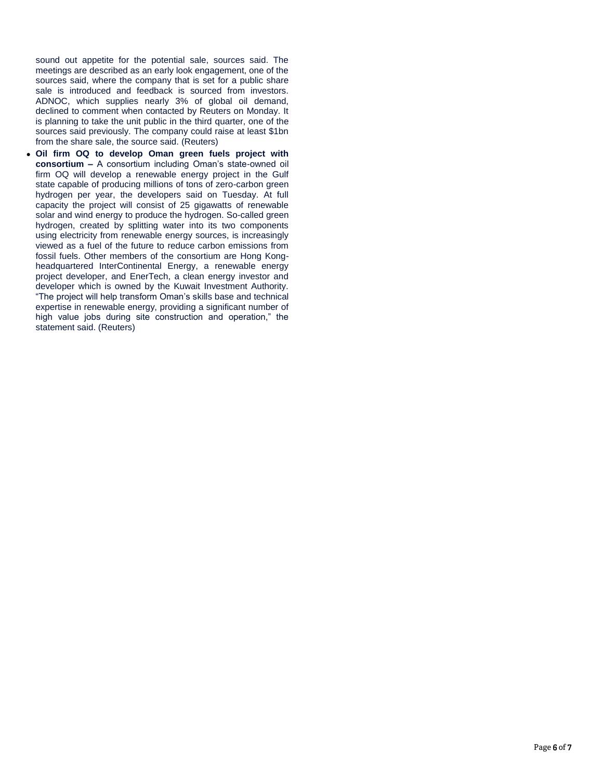sound out appetite for the potential sale, sources said. The meetings are described as an early look engagement, one of the sources said, where the company that is set for a public share sale is introduced and feedback is sourced from investors. ADNOC, which supplies nearly 3% of global oil demand, declined to comment when contacted by Reuters on Monday. It is planning to take the unit public in the third quarter, one of the sources said previously. The company could raise at least \$1bn from the share sale, the source said. (Reuters)

 **Oil firm OQ to develop Oman green fuels project with consortium –** A consortium including Oman's state-owned oil firm OQ will develop a renewable energy project in the Gulf state capable of producing millions of tons of zero-carbon green hydrogen per year, the developers said on Tuesday. At full capacity the project will consist of 25 gigawatts of renewable solar and wind energy to produce the hydrogen. So-called green hydrogen, created by splitting water into its two components using electricity from renewable energy sources, is increasingly viewed as a fuel of the future to reduce carbon emissions from fossil fuels. Other members of the consortium are Hong Kongheadquartered InterContinental Energy, a renewable energy project developer, and EnerTech, a clean energy investor and developer which is owned by the Kuwait Investment Authority. "The project will help transform Oman's skills base and technical expertise in renewable energy, providing a significant number of high value jobs during site construction and operation," the statement said. (Reuters)